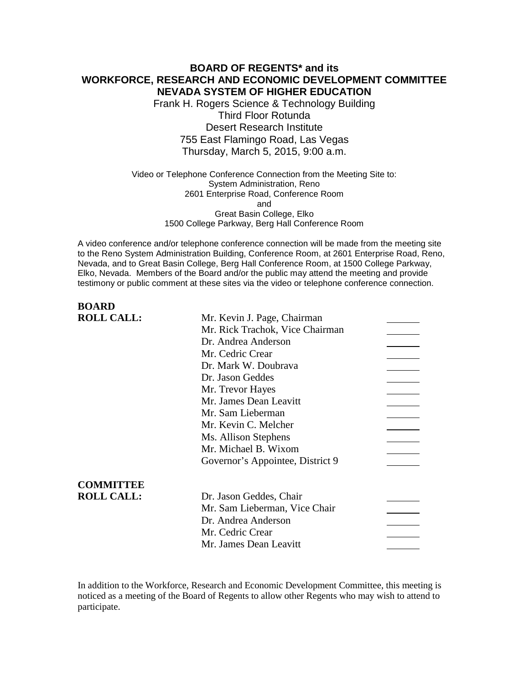### **BOARD OF REGENTS\* and its WORKFORCE, RESEARCH AND ECONOMIC DEVELOPMENT COMMITTEE NEVADA SYSTEM OF HIGHER EDUCATION**

Frank H. Rogers Science & Technology Building Third Floor Rotunda Desert Research Institute 755 East Flamingo Road, Las Vegas Thursday, March 5, 2015, 9:00 a.m.

### Video or Telephone Conference Connection from the Meeting Site to: System Administration, Reno 2601 Enterprise Road, Conference Room and Great Basin College, Elko 1500 College Parkway, Berg Hall Conference Room

A video conference and/or telephone conference connection will be made from the meeting site to the Reno System Administration Building, Conference Room, at 2601 Enterprise Road, Reno, Nevada, and to Great Basin College, Berg Hall Conference Room, at 1500 College Parkway, Elko, Nevada. Members of the Board and/or the public may attend the meeting and provide testimony or public comment at these sites via the video or telephone conference connection.

# **BOARD ROLL CALL:** Mr. Kevin J. Page, Chairman Mr. Rick Trachok, Vice Chairman Dr. Andrea Anderson Mr. Cedric Crear Dr. Mark W. Doubrava Dr. Jason Geddes Mr. Trevor Hayes Mr. James Dean Leavitt Mr. Sam Lieberman Mr. Kevin C. Melcher Ms. Allison Stephens Mr. Michael B. Wixom Governor's Appointee, District 9 **COMMITTEE ROLL CALL:** Dr. Jason Geddes, Chair Mr. Sam Lieberman, Vice Chair Dr. Andrea Anderson Mr. Cedric Crear Mr. James Dean Leavitt

In addition to the Workforce, Research and Economic Development Committee, this meeting is noticed as a meeting of the Board of Regents to allow other Regents who may wish to attend to participate.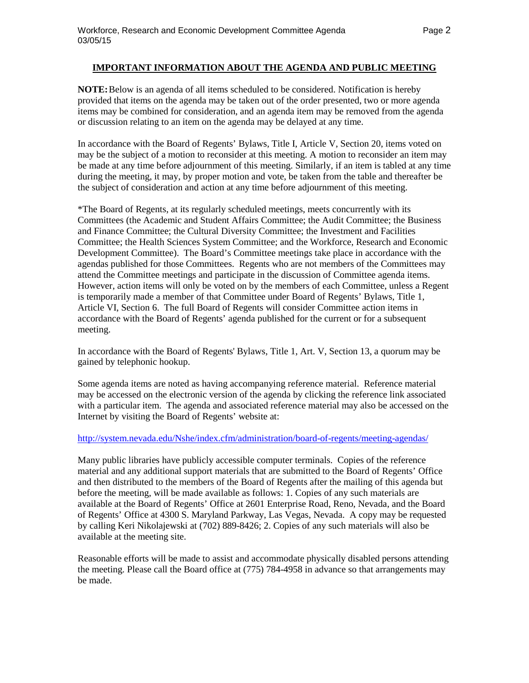### **IMPORTANT INFORMATION ABOUT THE AGENDA AND PUBLIC MEETING**

**NOTE:**Below is an agenda of all items scheduled to be considered. Notification is hereby provided that items on the agenda may be taken out of the order presented, two or more agenda items may be combined for consideration, and an agenda item may be removed from the agenda or discussion relating to an item on the agenda may be delayed at any time.

In accordance with the Board of Regents' Bylaws, Title I, Article V, Section 20, items voted on may be the subject of a motion to reconsider at this meeting. A motion to reconsider an item may be made at any time before adjournment of this meeting. Similarly, if an item is tabled at any time during the meeting, it may, by proper motion and vote, be taken from the table and thereafter be the subject of consideration and action at any time before adjournment of this meeting.

\*The Board of Regents, at its regularly scheduled meetings, meets concurrently with its Committees (the Academic and Student Affairs Committee; the Audit Committee; the Business and Finance Committee; the Cultural Diversity Committee; the Investment and Facilities Committee; the Health Sciences System Committee; and the Workforce, Research and Economic Development Committee). The Board's Committee meetings take place in accordance with the agendas published for those Committees. Regents who are not members of the Committees may attend the Committee meetings and participate in the discussion of Committee agenda items. However, action items will only be voted on by the members of each Committee, unless a Regent is temporarily made a member of that Committee under Board of Regents' Bylaws, Title 1, Article VI, Section 6. The full Board of Regents will consider Committee action items in accordance with the Board of Regents' agenda published for the current or for a subsequent meeting.

In accordance with the Board of Regents' Bylaws, Title 1, Art. V, Section 13, a quorum may be gained by telephonic hookup.

Some agenda items are noted as having accompanying reference material. Reference material may be accessed on the electronic version of the agenda by clicking the reference link associated with a particular item. The agenda and associated reference material may also be accessed on the Internet by visiting the Board of Regents' website at:

### <http://system.nevada.edu/Nshe/index.cfm/administration/board-of-regents/meeting-agendas/>

Many public libraries have publicly accessible computer terminals. Copies of the reference material and any additional support materials that are submitted to the Board of Regents' Office and then distributed to the members of the Board of Regents after the mailing of this agenda but before the meeting, will be made available as follows: 1. Copies of any such materials are available at the Board of Regents' Office at 2601 Enterprise Road, Reno, Nevada, and the Board of Regents' Office at 4300 S. Maryland Parkway, Las Vegas, Nevada. A copy may be requested by calling Keri Nikolajewski at (702) 889-8426; 2. Copies of any such materials will also be available at the meeting site.

Reasonable efforts will be made to assist and accommodate physically disabled persons attending the meeting. Please call the Board office at (775) 784-4958 in advance so that arrangements may be made.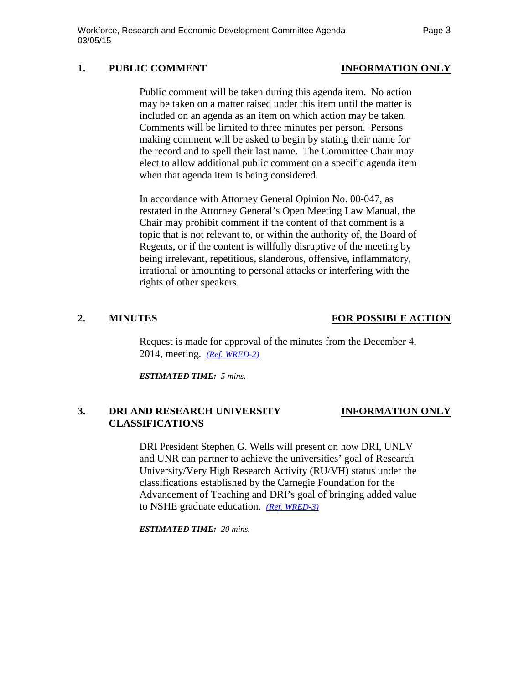## **1. PUBLIC COMMENT INFORMATION ONLY**

Public comment will be taken during this agenda item. No action may be taken on a matter raised under this item until the matter is included on an agenda as an item on which action may be taken. Comments will be limited to three minutes per person. Persons making comment will be asked to begin by stating their name for the record and to spell their last name. The Committee Chair may elect to allow additional public comment on a specific agenda item when that agenda item is being considered.

In accordance with Attorney General Opinion No. 00-047, as restated in the Attorney General's Open Meeting Law Manual, the Chair may prohibit comment if the content of that comment is a topic that is not relevant to, or within the authority of, the Board of Regents, or if the content is willfully disruptive of the meeting by being irrelevant, repetitious, slanderous, offensive, inflammatory, irrational or amounting to personal attacks or interfering with the rights of other speakers.

## **2. MINUTES FOR POSSIBLE ACTION**

Request is made for approval of the minutes from the December 4, 2014, meeting. *[\(Ref. WRED-2\)](http://system.nevada.edu/tasks/sites/Nshe/assets/File/BoardOfRegents/Agendas/2015/mar-mtgs/wred-refs/WRED-2.pdf)*

*ESTIMATED TIME: 5 mins.*

## **3. DRI AND RESEARCH UNIVERSITY INFORMATION ONLY CLASSIFICATIONS**

DRI President Stephen G. Wells will present on how DRI, UNLV and UNR can partner to achieve the universities' goal of Research University/Very High Research Activity (RU/VH) status under the classifications established by the Carnegie Foundation for the Advancement of Teaching and DRI's goal of bringing added value to NSHE graduate education. *[\(Ref. WRED-3\)](http://system.nevada.edu/tasks/sites/Nshe/assets/File/BoardOfRegents/Agendas/2015/mar-mtgs/wred-refs/WRED-3.pdf)*

*ESTIMATED TIME: 20 mins.*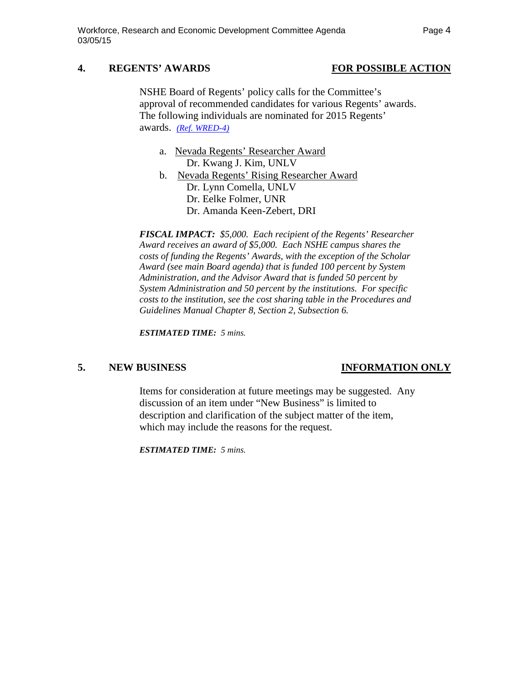### **4. REGENTS' AWARDS FOR POSSIBLE ACTION**

NSHE Board of Regents' policy calls for the Committee's approval of recommended candidates for various Regents' awards. The following individuals are nominated for 2015 Regents' awards. *[\(Ref. WRED-4\)](http://system.nevada.edu/tasks/sites/Nshe/assets/File/BoardOfRegents/Agendas/2015/mar-mtgs/wred-refs/WRED-4.pdf)*

- a. Nevada Regents' Researcher Award Dr. Kwang J. Kim, UNLV
- b. Nevada Regents' Rising Researcher Award Dr. Lynn Comella, UNLV Dr. Eelke Folmer, UNR Dr. Amanda Keen-Zebert, DRI

*FISCAL IMPACT: \$5,000. Each recipient of the Regents' Researcher Award receives an award of \$5,000. Each NSHE campus shares the costs of funding the Regents' Awards, with the exception of the Scholar Award (see main Board agenda) that is funded 100 percent by System Administration, and the Advisor Award that is funded 50 percent by System Administration and 50 percent by the institutions. For specific costs to the institution, see the cost sharing table in the Procedures and Guidelines Manual Chapter 8, Section 2, Subsection 6.*

*ESTIMATED TIME: 5 mins.*

### **5. NEW BUSINESS INFORMATION ONLY**

Items for consideration at future meetings may be suggested. Any discussion of an item under "New Business" is limited to description and clarification of the subject matter of the item, which may include the reasons for the request.

*ESTIMATED TIME: 5 mins.*